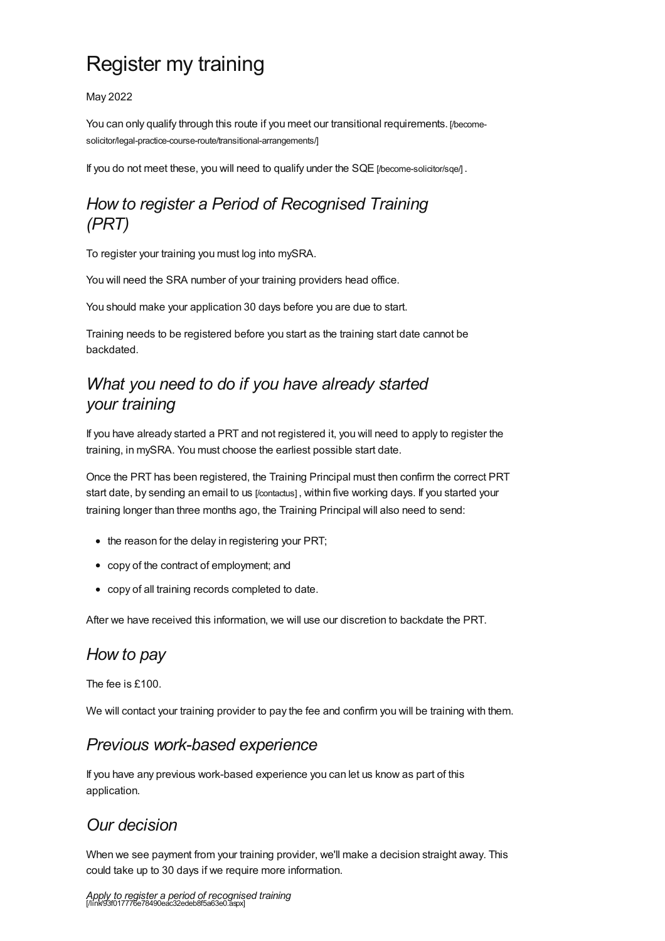# Register my training

May 2022

You can only qualify through this route if you meet our transitional requirements. [/become[solicitor/legal-practice-course-route/transitional-arrangements/\]](https://www.sra.org.uk/become-solicitor/legal-practice-course-route/transitional-arrangements/)

If you do not meet these, you will need to qualify under the SQE [/become-solicitor/sge/].

## *How to register a Period of Recognised Training (PRT)*

To register your training you must log into mySRA.

You will need the SRA number of your training providers head office.

You should make your application 30 days before you are due to start.

Training needs to be registered before you start as the training start date cannot be backdated.

## *What you need to do if you have already started your training*

If you have already started a PRT and not registered it, you will need to apply to register the training, in mySRA. You must choose the earliest possible start date.

Once the PRT has been registered, the Training Principal must then confirm the correct PRT start date, by sending an email to us [\[/contactus\]](https://www.sra.org.uk/contactus), within five working days. If you started your training longer than three months ago, the Training Principal will also need to send:

- the reason for the delay in registering your PRT;
- copy of the contract of employment; and
- copy of all training records completed to date.

After we have received this information, we will use our discretion to backdate the PRT.

# *How to pay*

The fee is £100.

We will contact your training provider to pay the fee and confirm you will be training with them.

#### *Previous work-based experience*

If you have any previous work-based experience you can let us know as part of this application.

#### *Our decision*

When we see payment from your training provider, we'll make a decision straight away. This could take up to 30 days if we require more information.

*Apply to register a period of recognised training* [/link/93f017776e78490eac32edeb8f5a63e0.aspx]